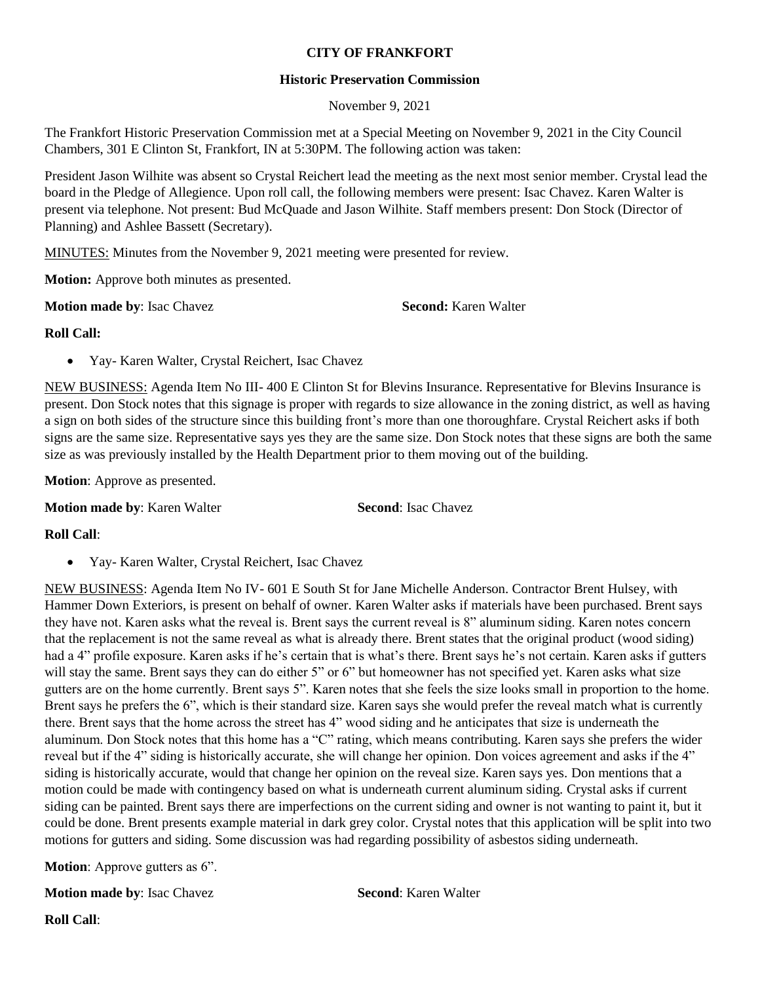## **CITY OF FRANKFORT**

## **Historic Preservation Commission**

November 9, 2021

The Frankfort Historic Preservation Commission met at a Special Meeting on November 9, 2021 in the City Council Chambers, 301 E Clinton St, Frankfort, IN at 5:30PM. The following action was taken:

President Jason Wilhite was absent so Crystal Reichert lead the meeting as the next most senior member. Crystal lead the board in the Pledge of Allegience. Upon roll call, the following members were present: Isac Chavez. Karen Walter is present via telephone. Not present: Bud McQuade and Jason Wilhite. Staff members present: Don Stock (Director of Planning) and Ashlee Bassett (Secretary).

MINUTES: Minutes from the November 9, 2021 meeting were presented for review.

**Motion:** Approve both minutes as presented.

**Motion made by: Isac Chavez <b>Second:** Karen Walter

## **Roll Call:**

Yay- Karen Walter, Crystal Reichert, Isac Chavez

NEW BUSINESS: Agenda Item No III- 400 E Clinton St for Blevins Insurance. Representative for Blevins Insurance is present. Don Stock notes that this signage is proper with regards to size allowance in the zoning district, as well as having a sign on both sides of the structure since this building front's more than one thoroughfare. Crystal Reichert asks if both signs are the same size. Representative says yes they are the same size. Don Stock notes that these signs are both the same size as was previously installed by the Health Department prior to them moving out of the building.

**Motion**: Approve as presented.

**Motion made by: Karen Walter <b>Second**: Isac Chavez

**Roll Call**:

Yay- Karen Walter, Crystal Reichert, Isac Chavez

NEW BUSINESS: Agenda Item No IV- 601 E South St for Jane Michelle Anderson. Contractor Brent Hulsey, with Hammer Down Exteriors, is present on behalf of owner. Karen Walter asks if materials have been purchased. Brent says they have not. Karen asks what the reveal is. Brent says the current reveal is 8" aluminum siding. Karen notes concern that the replacement is not the same reveal as what is already there. Brent states that the original product (wood siding) had a 4" profile exposure. Karen asks if he's certain that is what's there. Brent says he's not certain. Karen asks if gutters will stay the same. Brent says they can do either 5" or 6" but homeowner has not specified yet. Karen asks what size gutters are on the home currently. Brent says 5". Karen notes that she feels the size looks small in proportion to the home. Brent says he prefers the 6", which is their standard size. Karen says she would prefer the reveal match what is currently there. Brent says that the home across the street has 4" wood siding and he anticipates that size is underneath the aluminum. Don Stock notes that this home has a "C" rating, which means contributing. Karen says she prefers the wider reveal but if the 4" siding is historically accurate, she will change her opinion. Don voices agreement and asks if the 4" siding is historically accurate, would that change her opinion on the reveal size. Karen says yes. Don mentions that a motion could be made with contingency based on what is underneath current aluminum siding. Crystal asks if current siding can be painted. Brent says there are imperfections on the current siding and owner is not wanting to paint it, but it could be done. Brent presents example material in dark grey color. Crystal notes that this application will be split into two motions for gutters and siding. Some discussion was had regarding possibility of asbestos siding underneath.

**Motion**: Approve gutters as 6".

**Motion made by**: Isac Chavez **Second**: Karen Walter

**Roll Call**: